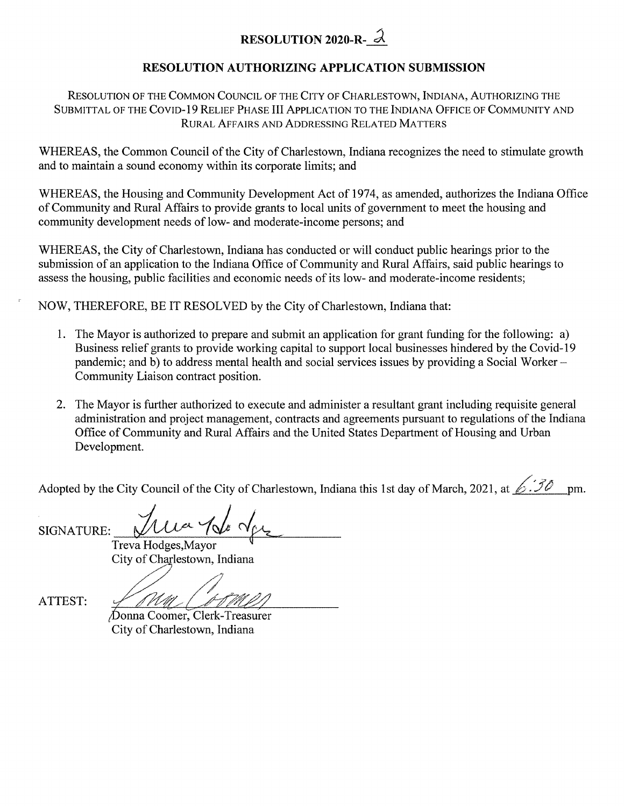## **RESOLUTION <sup>2020</sup>-R- ^**

## **RESOLUTION AUTHORIZING APPLICATION SUBMISSION**

Resolution of the Common Council of the City of Charlestown, Indiana, Authorizing the Submittal of the Covid-19 Relief Phase III Application to the Indiana Office of Community and Rural Affairs and Addressing Related Matters

WHEREAS, the Common Council of the City of Charlestown, Indiana recognizes the need to stimulate growth and to maintain a sound economy within its corporate limits; and

WHEREAS, the Housing and Community Development Act of 1974, as amended, authorizes the Indiana Office ofCommunity and Rural Affairs to provide grants to local units of government to meet the housing and community development needs of low- and moderate-income persons; and

WHEREAS, the City of Charlestown, Indiana has conducted or will conduct public hearings prior to the submission of an application to the Indiana Office of Community and Rural Affairs, said public hearings to assess the housing, public facilities and economic needs of its low- and moderate-income residents;

NOW, THEREFORE, BE IT RESOLVED by the City of Charlestown, Indiana that:

- 1. The Mayor is authorized to prepare and submit an application for grant funding for the following: a) Business relief grants to provide working capital to support local businesses hindered by the Covid-19 pandemic; and b) to address mental health and social services issues by providing a Social Worker – Community Liaison contract position.
- 2. The Mayor is further authorized to execute and administer a resultant grant including requisite general administration and project management, contracts and agreements pursuant to regulations of the Indiana Office of Community and Rural Affairs and the United States Department of Housing and Urban Development.

Adopted by the City Council of the City of Charlestown, Indiana this 1st day of March, 2021, at *S*  $\overrightarrow{30}$  pm.

SIGNATURE:

Trua 1 de de Treva Hodges,Mayor City of Charlestown, Indiana

ATTEST:

)onna Coomer, Clerk-Treasurer City of Charlestown, Indiana